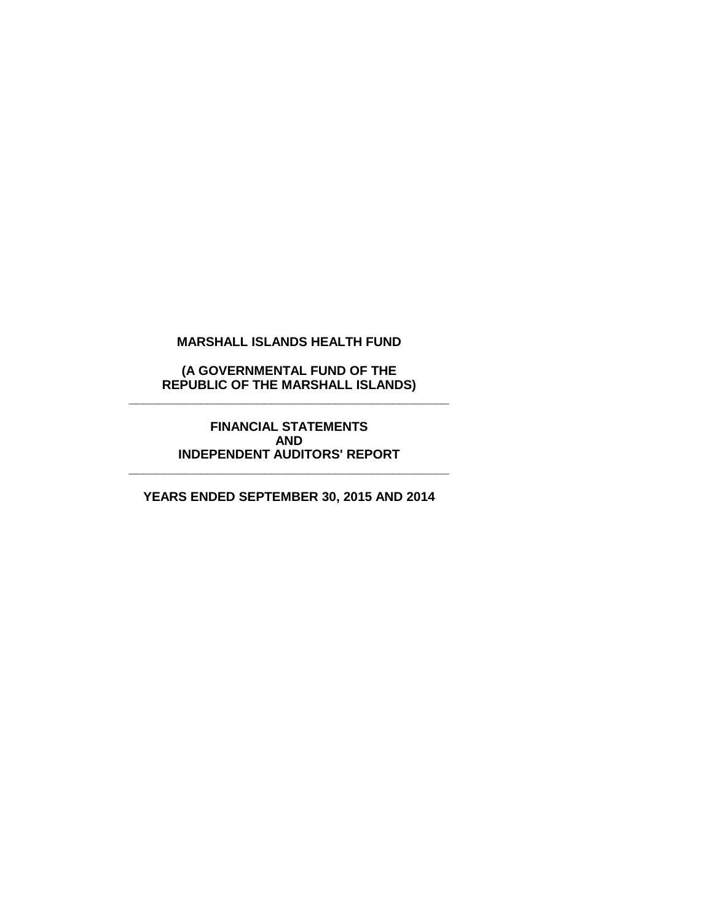**(A GOVERNMENTAL FUND OF THE REPUBLIC OF THE MARSHALL ISLANDS) \_\_\_\_\_\_\_\_\_\_\_\_\_\_\_\_\_\_\_\_\_\_\_\_\_\_\_\_\_\_\_\_\_\_\_\_\_\_\_\_\_\_\_\_\_**

> **FINANCIAL STATEMENTS AND INDEPENDENT AUDITORS' REPORT**

**\_\_\_\_\_\_\_\_\_\_\_\_\_\_\_\_\_\_\_\_\_\_\_\_\_\_\_\_\_\_\_\_\_\_\_\_\_\_\_\_\_\_\_\_\_**

**YEARS ENDED SEPTEMBER 30, 2015 AND 2014**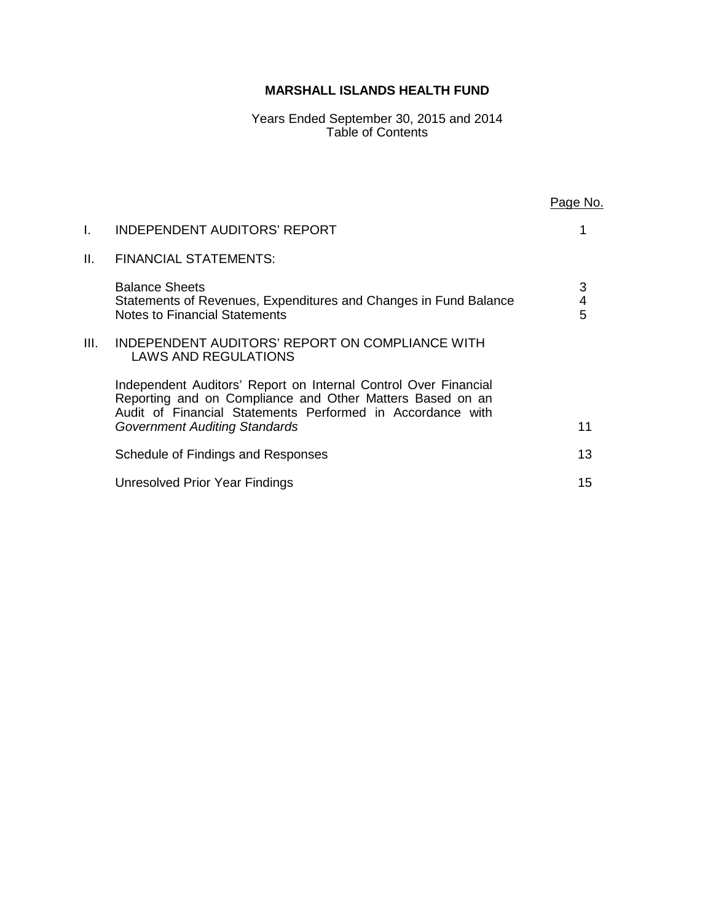Years Ended September 30, 2015 and 2014 Table of Contents

|     |                                                                                                                                                                                                                                    | Page No.    |
|-----|------------------------------------------------------------------------------------------------------------------------------------------------------------------------------------------------------------------------------------|-------------|
| I.  | <b>INDEPENDENT AUDITORS' REPORT</b>                                                                                                                                                                                                |             |
| II. | <b>FINANCIAL STATEMENTS:</b>                                                                                                                                                                                                       |             |
|     | <b>Balance Sheets</b><br>Statements of Revenues, Expenditures and Changes in Fund Balance<br><b>Notes to Financial Statements</b>                                                                                                  | 3<br>4<br>5 |
| Ш.  | INDEPENDENT AUDITORS' REPORT ON COMPLIANCE WITH<br>LAWS AND REGULATIONS                                                                                                                                                            |             |
|     | Independent Auditors' Report on Internal Control Over Financial<br>Reporting and on Compliance and Other Matters Based on an<br>Audit of Financial Statements Performed in Accordance with<br><b>Government Auditing Standards</b> | 11          |
|     | Schedule of Findings and Responses                                                                                                                                                                                                 | 13          |
|     |                                                                                                                                                                                                                                    |             |
|     | Unresolved Prior Year Findings                                                                                                                                                                                                     | 15          |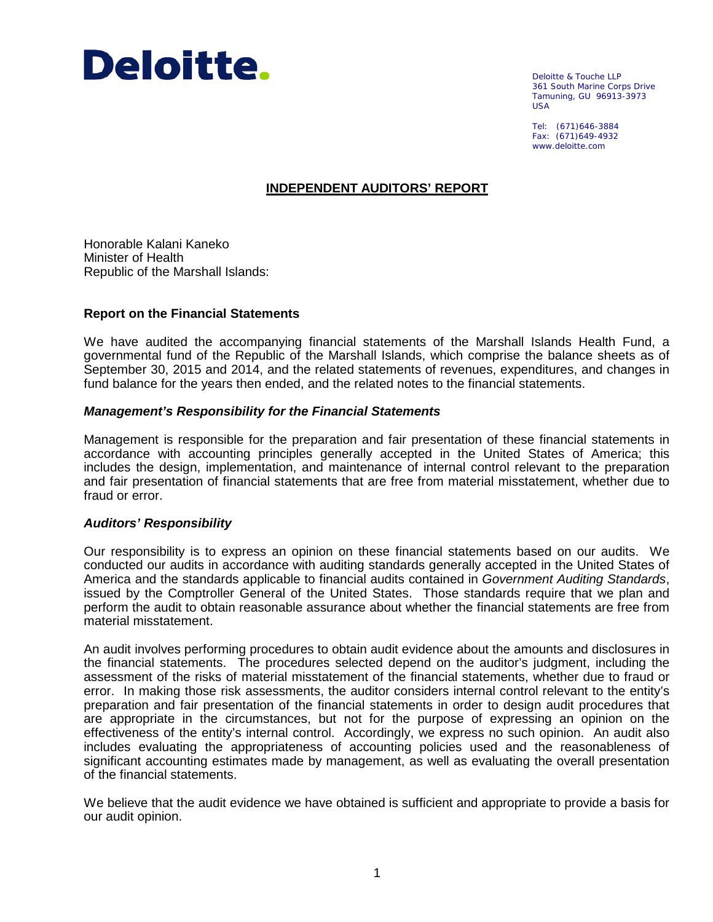

Deloitte & Touche LLP 361 South Marine Corps Drive Tamuning, GU 96913-3973 USA

Tel: (671)646-3884 Fax: (671)649-4932 www.deloitte.com

# **INDEPENDENT AUDITORS' REPORT**

Honorable Kalani Kaneko Minister of Health Republic of the Marshall Islands:

# **Report on the Financial Statements**

We have audited the accompanying financial statements of the Marshall Islands Health Fund, a governmental fund of the Republic of the Marshall Islands, which comprise the balance sheets as of September 30, 2015 and 2014, and the related statements of revenues, expenditures, and changes in fund balance for the years then ended, and the related notes to the financial statements.

#### *Management's Responsibility for the Financial Statements*

Management is responsible for the preparation and fair presentation of these financial statements in accordance with accounting principles generally accepted in the United States of America; this includes the design, implementation, and maintenance of internal control relevant to the preparation and fair presentation of financial statements that are free from material misstatement, whether due to fraud or error.

#### *Auditors' Responsibility*

Our responsibility is to express an opinion on these financial statements based on our audits. We conducted our audits in accordance with auditing standards generally accepted in the United States of America and the standards applicable to financial audits contained in *Government Auditing Standards*, issued by the Comptroller General of the United States. Those standards require that we plan and perform the audit to obtain reasonable assurance about whether the financial statements are free from material misstatement.

An audit involves performing procedures to obtain audit evidence about the amounts and disclosures in the financial statements. The procedures selected depend on the auditor's judgment, including the assessment of the risks of material misstatement of the financial statements, whether due to fraud or error. In making those risk assessments, the auditor considers internal control relevant to the entity's preparation and fair presentation of the financial statements in order to design audit procedures that are appropriate in the circumstances, but not for the purpose of expressing an opinion on the effectiveness of the entity's internal control. Accordingly, we express no such opinion. An audit also includes evaluating the appropriateness of accounting policies used and the reasonableness of significant accounting estimates made by management, as well as evaluating the overall presentation of the financial statements.

We believe that the audit evidence we have obtained is sufficient and appropriate to provide a basis for our audit opinion.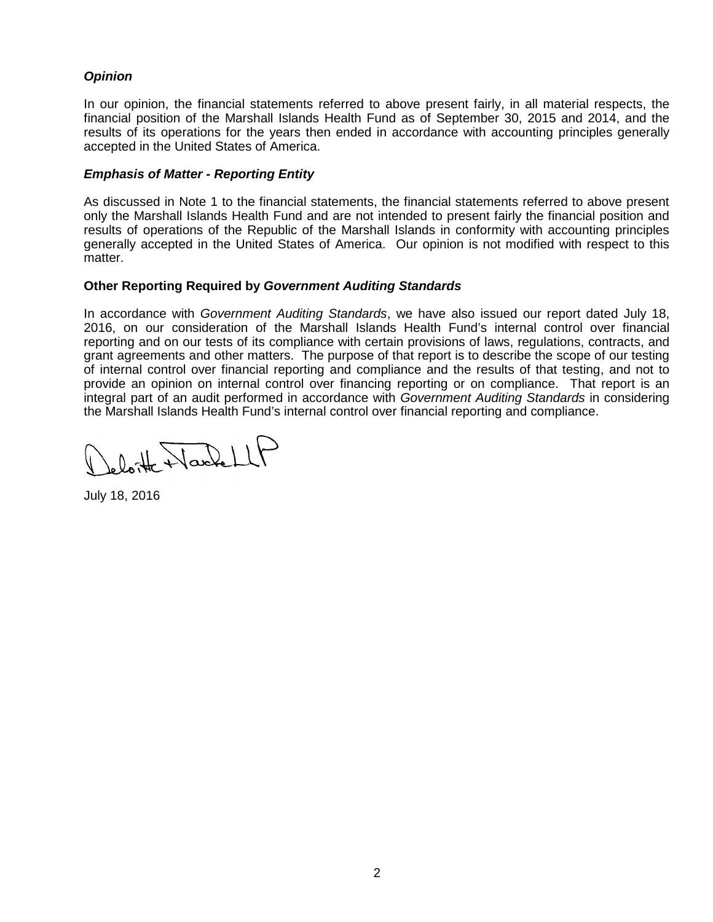# *Opinion*

In our opinion, the financial statements referred to above present fairly, in all material respects, the financial position of the Marshall Islands Health Fund as of September 30, 2015 and 2014, and the results of its operations for the years then ended in accordance with accounting principles generally accepted in the United States of America.

# *Emphasis of Matter - Reporting Entity*

As discussed in Note 1 to the financial statements, the financial statements referred to above present only the Marshall Islands Health Fund and are not intended to present fairly the financial position and results of operations of the Republic of the Marshall Islands in conformity with accounting principles generally accepted in the United States of America. Our opinion is not modified with respect to this matter.

# **Other Reporting Required by** *Government Auditing Standards*

In accordance with *Government Auditing Standards*, we have also issued our report dated July 18, 2016, on our consideration of the Marshall Islands Health Fund's internal control over financial reporting and on our tests of its compliance with certain provisions of laws, regulations, contracts, and grant agreements and other matters. The purpose of that report is to describe the scope of our testing of internal control over financial reporting and compliance and the results of that testing, and not to provide an opinion on internal control over financing reporting or on compliance. That report is an integral part of an audit performed in accordance with *Government Auditing Standards* in considering the Marshall Islands Health Fund's internal control over financial reporting and compliance.

leloite Nache LLF

July 18, 2016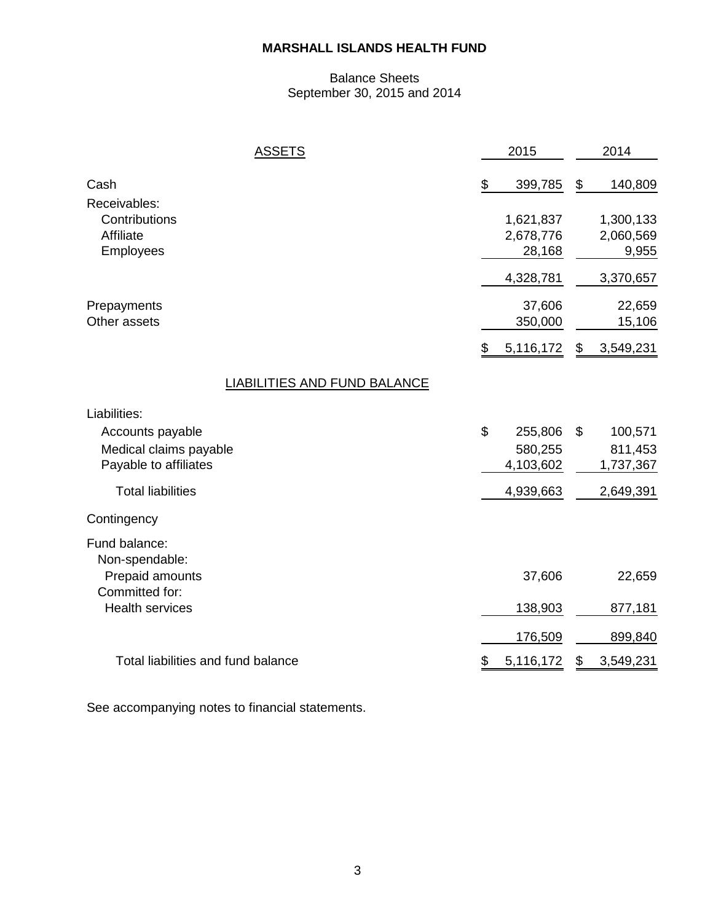# Balance Sheets September 30, 2015 and 2014

| <u>ASSETS</u>                                                                       | 2015                                  |                           | 2014                            |
|-------------------------------------------------------------------------------------|---------------------------------------|---------------------------|---------------------------------|
| Cash                                                                                | \$<br>399,785                         | \$                        | 140,809                         |
| Receivables:<br>Contributions<br>Affiliate<br>Employees                             | 1,621,837<br>2,678,776<br>28,168      |                           | 1,300,133<br>2,060,569<br>9,955 |
|                                                                                     | 4,328,781                             |                           | 3,370,657                       |
| Prepayments<br>Other assets                                                         | 37,606<br>350,000                     |                           | 22,659<br>15,106                |
|                                                                                     | \$<br>5,116,172                       | $\$\$                     | 3,549,231                       |
| LIABILITIES AND FUND BALANCE                                                        |                                       |                           |                                 |
| Liabilities:<br>Accounts payable<br>Medical claims payable<br>Payable to affiliates | \$<br>255,806<br>580,255<br>4,103,602 | $\boldsymbol{\mathsf{S}}$ | 100,571<br>811,453<br>1,737,367 |
| <b>Total liabilities</b>                                                            | 4,939,663                             |                           | 2,649,391                       |
| Contingency                                                                         |                                       |                           |                                 |
| Fund balance:<br>Non-spendable:<br>Prepaid amounts<br>Committed for:                | 37,606                                |                           | 22,659                          |
| <b>Health services</b>                                                              | 138,903                               |                           | 877,181                         |
|                                                                                     | 176,509                               |                           | 899,840                         |
| Total liabilities and fund balance                                                  | \$<br>5,116,172                       | \$                        | 3,549,231                       |

See accompanying notes to financial statements.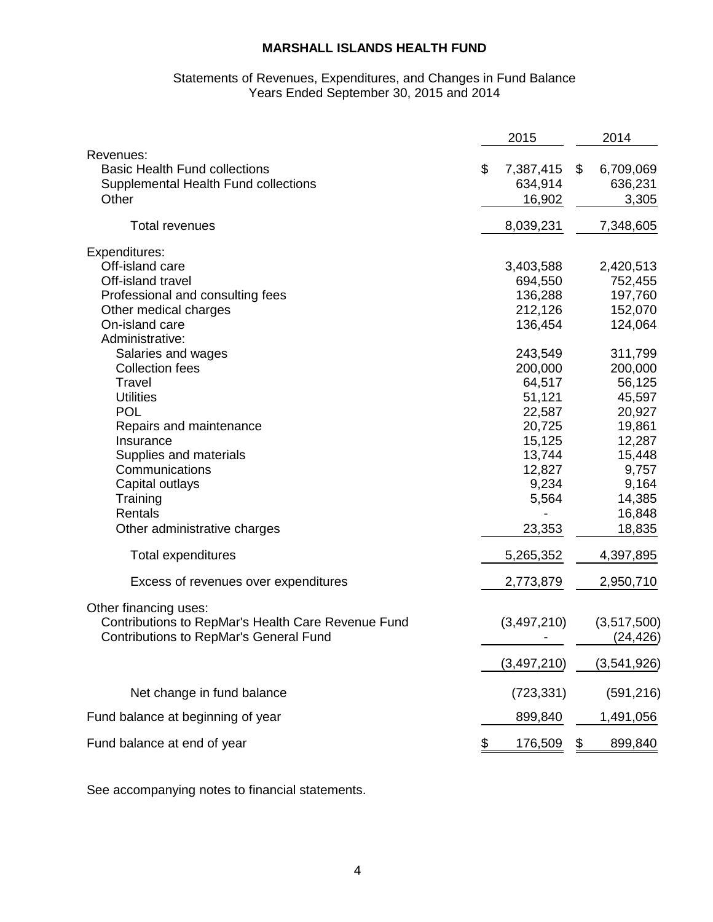# Statements of Revenues, Expenditures, and Changes in Fund Balance Years Ended September 30, 2015 and 2014

|                                                                                                                                                                                                                                                                                                                                                                                                                   | 2015                                                                                                                                                                          | 2014                                                                                                                                                                                    |
|-------------------------------------------------------------------------------------------------------------------------------------------------------------------------------------------------------------------------------------------------------------------------------------------------------------------------------------------------------------------------------------------------------------------|-------------------------------------------------------------------------------------------------------------------------------------------------------------------------------|-----------------------------------------------------------------------------------------------------------------------------------------------------------------------------------------|
| Revenues:<br><b>Basic Health Fund collections</b><br>Supplemental Health Fund collections<br>Other                                                                                                                                                                                                                                                                                                                | \$<br>7,387,415<br>634,914<br>16,902                                                                                                                                          | \$<br>6,709,069<br>636,231<br>3,305                                                                                                                                                     |
| <b>Total revenues</b>                                                                                                                                                                                                                                                                                                                                                                                             | 8,039,231                                                                                                                                                                     | 7,348,605                                                                                                                                                                               |
| Expenditures:<br>Off-island care<br>Off-island travel<br>Professional and consulting fees<br>Other medical charges<br>On-island care<br>Administrative:<br>Salaries and wages<br><b>Collection fees</b><br>Travel<br><b>Utilities</b><br><b>POL</b><br>Repairs and maintenance<br>Insurance<br>Supplies and materials<br>Communications<br>Capital outlays<br>Training<br>Rentals<br>Other administrative charges | 3,403,588<br>694,550<br>136,288<br>212,126<br>136,454<br>243,549<br>200,000<br>64,517<br>51,121<br>22,587<br>20,725<br>15,125<br>13,744<br>12,827<br>9,234<br>5,564<br>23,353 | 2,420,513<br>752,455<br>197,760<br>152,070<br>124,064<br>311,799<br>200,000<br>56,125<br>45,597<br>20,927<br>19,861<br>12,287<br>15,448<br>9,757<br>9,164<br>14,385<br>16,848<br>18,835 |
| <b>Total expenditures</b>                                                                                                                                                                                                                                                                                                                                                                                         | 5,265,352                                                                                                                                                                     | 4,397,895                                                                                                                                                                               |
| Excess of revenues over expenditures                                                                                                                                                                                                                                                                                                                                                                              | 2,773,879                                                                                                                                                                     | 2,950,710                                                                                                                                                                               |
| Other financing uses:<br>Contributions to RepMar's Health Care Revenue Fund<br><b>Contributions to RepMar's General Fund</b>                                                                                                                                                                                                                                                                                      | (3,497,210)                                                                                                                                                                   | (3,517,500)<br>(24, 426)                                                                                                                                                                |
|                                                                                                                                                                                                                                                                                                                                                                                                                   | (3, 497, 210)                                                                                                                                                                 | (3,541,926)                                                                                                                                                                             |
| Net change in fund balance                                                                                                                                                                                                                                                                                                                                                                                        | (723, 331)                                                                                                                                                                    | (591, 216)                                                                                                                                                                              |
| Fund balance at beginning of year                                                                                                                                                                                                                                                                                                                                                                                 | 899,840                                                                                                                                                                       | 1,491,056                                                                                                                                                                               |
| Fund balance at end of year                                                                                                                                                                                                                                                                                                                                                                                       | \$<br>176,509                                                                                                                                                                 | \$<br>899,840                                                                                                                                                                           |

See accompanying notes to financial statements.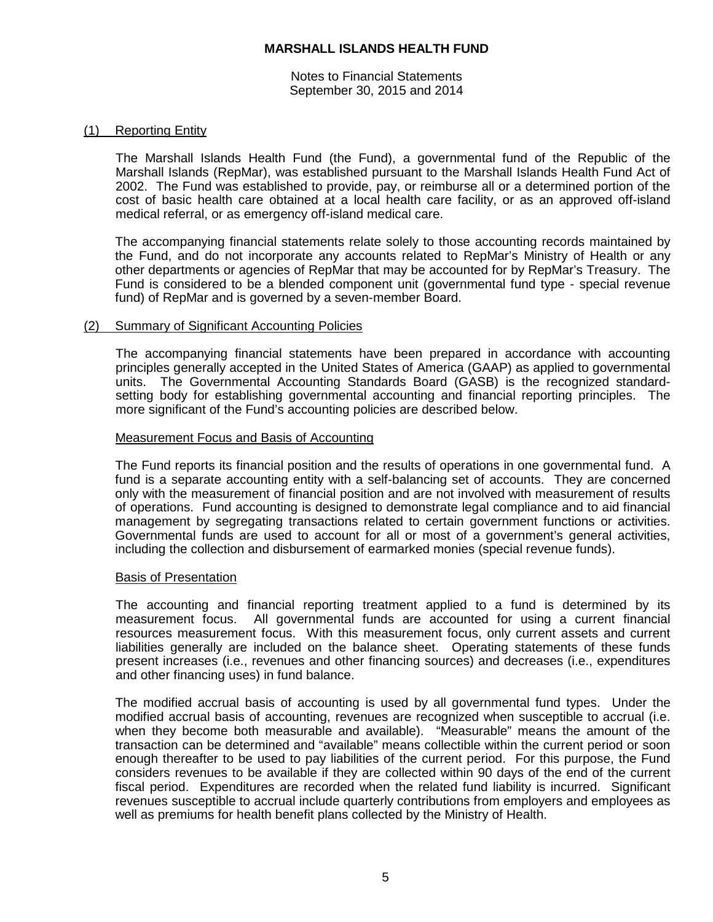Notes to Financial Statements September 30, 2015 and 2014

#### (1) Reporting Entity

The Marshall Islands Health Fund (the Fund), a governmental fund of the Republic of the Marshall Islands (RepMar), was established pursuant to the Marshall Islands Health Fund Act of 2002. The Fund was established to provide, pay, or reimburse all or a determined portion of the cost of basic health care obtained at a local health care facility, or as an approved off-island medical referral, or as emergency off-island medical care.

The accompanying financial statements relate solely to those accounting records maintained by the Fund, and do not incorporate any accounts related to RepMar's Ministry of Health or any other departments or agencies of RepMar that may be accounted for by RepMar's Treasury. The Fund is considered to be a blended component unit (governmental fund type - special revenue fund) of RepMar and is governed by a seven-member Board.

#### (2) Summary of Significant Accounting Policies

The accompanying financial statements have been prepared in accordance with accounting principles generally accepted in the United States of America (GAAP) as applied to governmental units. The Governmental Accounting Standards Board (GASB) is the recognized standardsetting body for establishing governmental accounting and financial reporting principles. The more significant of the Fund's accounting policies are described below.

#### Measurement Focus and Basis of Accounting

The Fund reports its financial position and the results of operations in one governmental fund. A fund is a separate accounting entity with a self-balancing set of accounts. They are concerned only with the measurement of financial position and are not involved with measurement of results of operations. Fund accounting is designed to demonstrate legal compliance and to aid financial management by segregating transactions related to certain government functions or activities. Governmental funds are used to account for all or most of a government's general activities, including the collection and disbursement of earmarked monies (special revenue funds).

#### Basis of Presentation

The accounting and financial reporting treatment applied to a fund is determined by its measurement focus. All governmental funds are accounted for using a current financial resources measurement focus. With this measurement focus, only current assets and current liabilities generally are included on the balance sheet. Operating statements of these funds present increases (i.e., revenues and other financing sources) and decreases (i.e., expenditures and other financing uses) in fund balance.

The modified accrual basis of accounting is used by all governmental fund types. Under the modified accrual basis of accounting, revenues are recognized when susceptible to accrual (i.e. when they become both measurable and available). "Measurable" means the amount of the transaction can be determined and "available" means collectible within the current period or soon enough thereafter to be used to pay liabilities of the current period. For this purpose, the Fund considers revenues to be available if they are collected within 90 days of the end of the current fiscal period. Expenditures are recorded when the related fund liability is incurred. Significant revenues susceptible to accrual include quarterly contributions from employers and employees as well as premiums for health benefit plans collected by the Ministry of Health.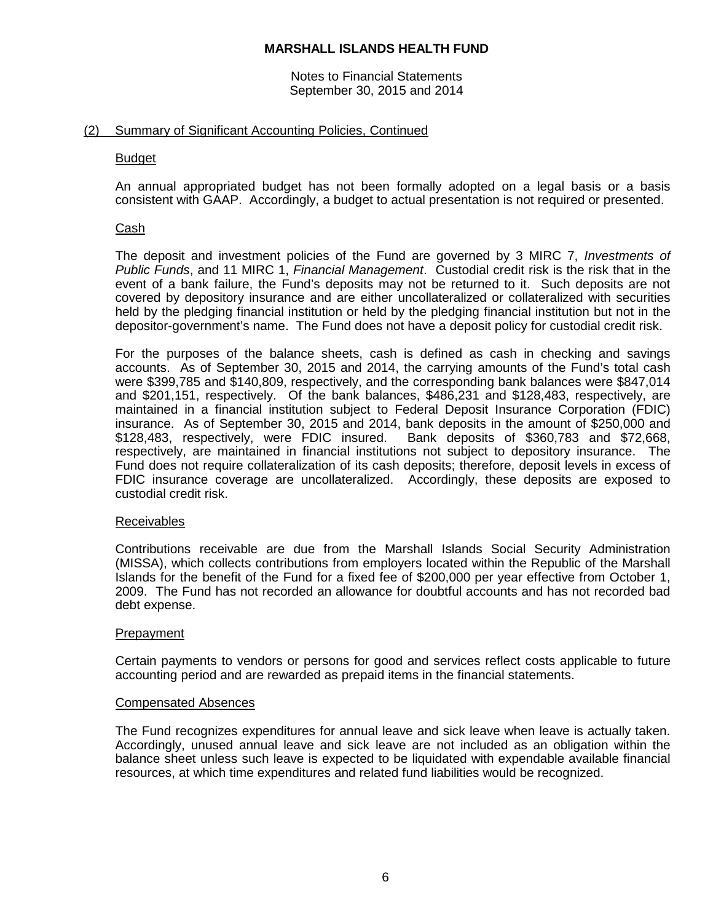Notes to Financial Statements September 30, 2015 and 2014

# (2) Summary of Significant Accounting Policies, Continued

# Budget

An annual appropriated budget has not been formally adopted on a legal basis or a basis consistent with GAAP. Accordingly, a budget to actual presentation is not required or presented.

# Cash

The deposit and investment policies of the Fund are governed by 3 MIRC 7, *Investments of Public Funds*, and 11 MIRC 1, *Financial Management*. Custodial credit risk is the risk that in the event of a bank failure, the Fund's deposits may not be returned to it. Such deposits are not covered by depository insurance and are either uncollateralized or collateralized with securities held by the pledging financial institution or held by the pledging financial institution but not in the depositor-government's name. The Fund does not have a deposit policy for custodial credit risk.

For the purposes of the balance sheets, cash is defined as cash in checking and savings accounts. As of September 30, 2015 and 2014, the carrying amounts of the Fund's total cash were \$399,785 and \$140,809, respectively, and the corresponding bank balances were \$847,014 and \$201,151, respectively. Of the bank balances, \$486,231 and \$128,483, respectively, are maintained in a financial institution subject to Federal Deposit Insurance Corporation (FDIC) insurance. As of September 30, 2015 and 2014, bank deposits in the amount of \$250,000 and \$12,668, in \$12,668, \$128,483, respectively, were FDIC insured. respectively, are maintained in financial institutions not subject to depository insurance. The Fund does not require collateralization of its cash deposits; therefore, deposit levels in excess of FDIC insurance coverage are uncollateralized. Accordingly, these deposits are exposed to custodial credit risk.

# Receivables

Contributions receivable are due from the Marshall Islands Social Security Administration (MISSA), which collects contributions from employers located within the Republic of the Marshall Islands for the benefit of the Fund for a fixed fee of \$200,000 per year effective from October 1, 2009. The Fund has not recorded an allowance for doubtful accounts and has not recorded bad debt expense.

# **Prepayment**

Certain payments to vendors or persons for good and services reflect costs applicable to future accounting period and are rewarded as prepaid items in the financial statements.

# Compensated Absences

The Fund recognizes expenditures for annual leave and sick leave when leave is actually taken. Accordingly, unused annual leave and sick leave are not included as an obligation within the balance sheet unless such leave is expected to be liquidated with expendable available financial resources, at which time expenditures and related fund liabilities would be recognized.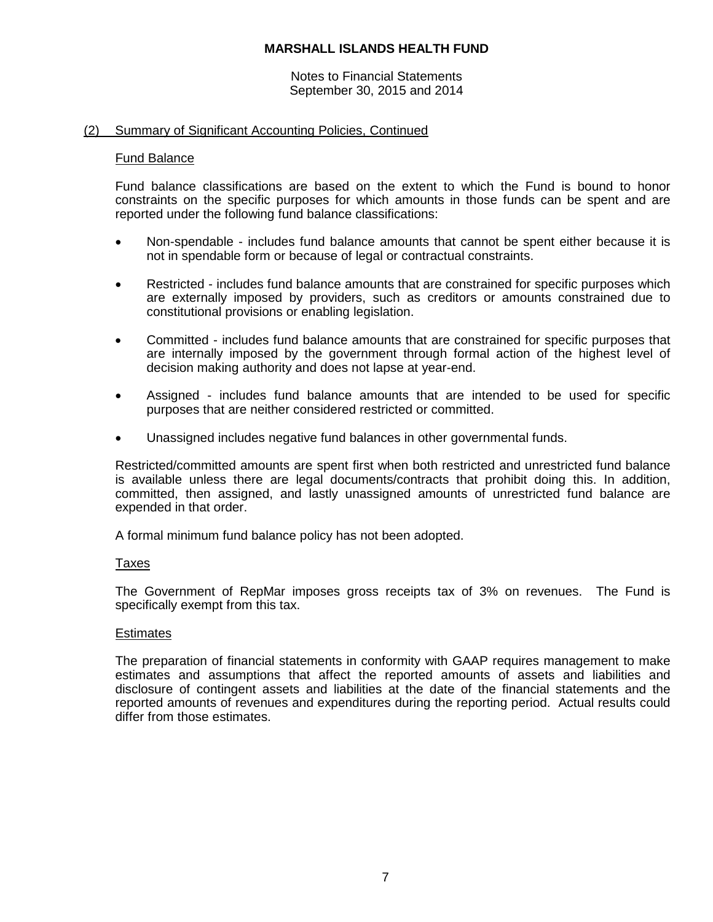Notes to Financial Statements September 30, 2015 and 2014

#### (2) Summary of Significant Accounting Policies, Continued

#### Fund Balance

Fund balance classifications are based on the extent to which the Fund is bound to honor constraints on the specific purposes for which amounts in those funds can be spent and are reported under the following fund balance classifications:

- Non-spendable includes fund balance amounts that cannot be spent either because it is not in spendable form or because of legal or contractual constraints.
- Restricted includes fund balance amounts that are constrained for specific purposes which are externally imposed by providers, such as creditors or amounts constrained due to constitutional provisions or enabling legislation.
- Committed includes fund balance amounts that are constrained for specific purposes that are internally imposed by the government through formal action of the highest level of decision making authority and does not lapse at year-end.
- Assigned includes fund balance amounts that are intended to be used for specific purposes that are neither considered restricted or committed.
- Unassigned includes negative fund balances in other governmental funds.

Restricted/committed amounts are spent first when both restricted and unrestricted fund balance is available unless there are legal documents/contracts that prohibit doing this. In addition, committed, then assigned, and lastly unassigned amounts of unrestricted fund balance are expended in that order.

A formal minimum fund balance policy has not been adopted.

# **Taxes**

The Government of RepMar imposes gross receipts tax of 3% on revenues. The Fund is specifically exempt from this tax.

# **Estimates**

The preparation of financial statements in conformity with GAAP requires management to make estimates and assumptions that affect the reported amounts of assets and liabilities and disclosure of contingent assets and liabilities at the date of the financial statements and the reported amounts of revenues and expenditures during the reporting period. Actual results could differ from those estimates.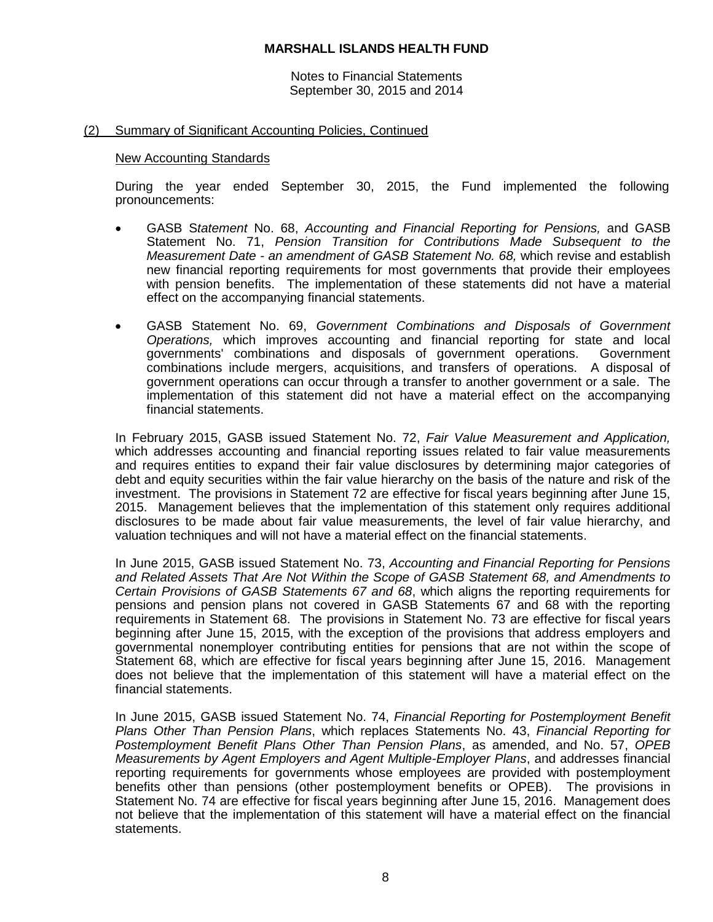Notes to Financial Statements September 30, 2015 and 2014

#### (2) Summary of Significant Accounting Policies, Continued

#### New Accounting Standards

During the year ended September 30, 2015, the Fund implemented the following pronouncements:

- GASB S*tatement* No. 68, *Accounting and Financial Reporting for Pensions,* and GASB Statement No. 71, *Pension Transition for Contributions Made Subsequent to the Measurement Date - an amendment of GASB Statement No. 68,* which revise and establish new financial reporting requirements for most governments that provide their employees with pension benefits. The implementation of these statements did not have a material effect on the accompanying financial statements.
- GASB Statement No. 69, *Government Combinations and Disposals of Government Operations,* which improves accounting and financial reporting for state and local governments' combinations and disposals of government operations. Government combinations include mergers, acquisitions, and transfers of operations. A disposal of government operations can occur through a transfer to another government or a sale. The implementation of this statement did not have a material effect on the accompanying financial statements.

In February 2015, GASB issued Statement No. 72, *Fair Value Measurement and Application,*  which addresses accounting and financial reporting issues related to fair value measurements and requires entities to expand their fair value disclosures by determining major categories of debt and equity securities within the fair value hierarchy on the basis of the nature and risk of the investment. The provisions in Statement 72 are effective for fiscal years beginning after June 15, 2015. Management believes that the implementation of this statement only requires additional disclosures to be made about fair value measurements, the level of fair value hierarchy, and valuation techniques and will not have a material effect on the financial statements.

In June 2015, GASB issued Statement No. 73, *Accounting and Financial Reporting for Pensions and Related Assets That Are Not Within the Scope of GASB Statement 68, and Amendments to Certain Provisions of GASB Statements 67 and 68*, which aligns the reporting requirements for pensions and pension plans not covered in GASB Statements 67 and 68 with the reporting requirements in Statement 68. The provisions in Statement No. 73 are effective for fiscal years beginning after June 15, 2015, with the exception of the provisions that address employers and governmental nonemployer contributing entities for pensions that are not within the scope of Statement 68, which are effective for fiscal years beginning after June 15, 2016. Management does not believe that the implementation of this statement will have a material effect on the financial statements.

In June 2015, GASB issued Statement No. 74, *Financial Reporting for Postemployment Benefit Plans Other Than Pension Plans*, which replaces Statements No. 43, *Financial Reporting for Postemployment Benefit Plans Other Than Pension Plans*, as amended, and No. 57, *OPEB Measurements by Agent Employers and Agent Multiple-Employer Plans*, and addresses financial reporting requirements for governments whose employees are provided with postemployment benefits other than pensions (other postemployment benefits or OPEB). The provisions in Statement No. 74 are effective for fiscal years beginning after June 15, 2016. Management does not believe that the implementation of this statement will have a material effect on the financial statements.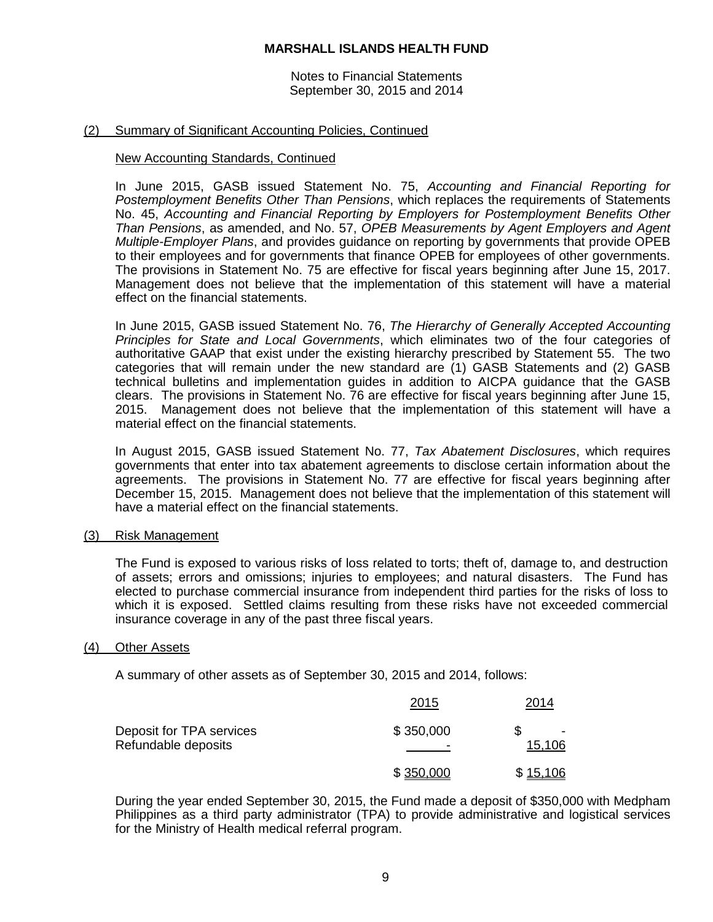Notes to Financial Statements September 30, 2015 and 2014

#### (2) Summary of Significant Accounting Policies, Continued

#### New Accounting Standards, Continued

In June 2015, GASB issued Statement No. 75, *Accounting and Financial Reporting for Postemployment Benefits Other Than Pensions*, which replaces the requirements of Statements No. 45, *Accounting and Financial Reporting by Employers for Postemployment Benefits Other Than Pensions*, as amended, and No. 57, *OPEB Measurements by Agent Employers and Agent Multiple-Employer Plans*, and provides guidance on reporting by governments that provide OPEB to their employees and for governments that finance OPEB for employees of other governments. The provisions in Statement No. 75 are effective for fiscal years beginning after June 15, 2017. Management does not believe that the implementation of this statement will have a material effect on the financial statements.

In June 2015, GASB issued Statement No. 76, *The Hierarchy of Generally Accepted Accounting Principles for State and Local Governments*, which eliminates two of the four categories of authoritative GAAP that exist under the existing hierarchy prescribed by Statement 55. The two categories that will remain under the new standard are (1) GASB Statements and (2) GASB technical bulletins and implementation guides in addition to AICPA guidance that the GASB clears. The provisions in Statement No. 76 are effective for fiscal years beginning after June 15, 2015. Management does not believe that the implementation of this statement will have a material effect on the financial statements.

In August 2015, GASB issued Statement No. 77, *Tax Abatement Disclosures*, which requires governments that enter into tax abatement agreements to disclose certain information about the agreements. The provisions in Statement No. 77 are effective for fiscal years beginning after December 15, 2015. Management does not believe that the implementation of this statement will have a material effect on the financial statements.

#### (3) Risk Management

The Fund is exposed to various risks of loss related to torts; theft of, damage to, and destruction of assets; errors and omissions; injuries to employees; and natural disasters. The Fund has elected to purchase commercial insurance from independent third parties for the risks of loss to which it is exposed. Settled claims resulting from these risks have not exceeded commercial insurance coverage in any of the past three fiscal years.

#### (4) Other Assets

A summary of other assets as of September 30, 2015 and 2014, follows:

|                                                 | 2015           | 2014     |
|-------------------------------------------------|----------------|----------|
| Deposit for TPA services<br>Refundable deposits | \$350,000<br>- | 15,106   |
|                                                 | \$350,000      | \$15,106 |

During the year ended September 30, 2015, the Fund made a deposit of \$350,000 with Medpham Philippines as a third party administrator (TPA) to provide administrative and logistical services for the Ministry of Health medical referral program.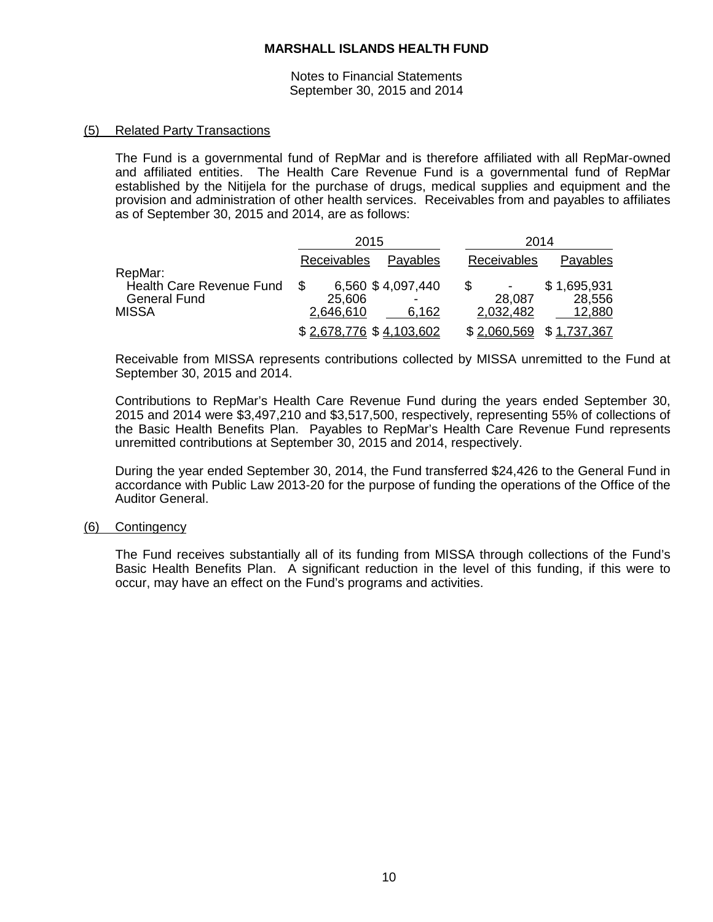Notes to Financial Statements September 30, 2015 and 2014

# (5) Related Party Transactions

The Fund is a governmental fund of RepMar and is therefore affiliated with all RepMar-owned and affiliated entities. The Health Care Revenue Fund is a governmental fund of RepMar established by the Nitijela for the purchase of drugs, medical supplies and equipment and the provision and administration of other health services. Receivables from and payables to affiliates as of September 30, 2015 and 2014, are as follows:

|                                                                 | 2015                                                        | 2014                                                                           |  |
|-----------------------------------------------------------------|-------------------------------------------------------------|--------------------------------------------------------------------------------|--|
| RepMar:                                                         | Receivables<br>Payables                                     | Receivables<br>Payables                                                        |  |
| Health Care Revenue Fund<br><b>General Fund</b><br><b>MISSA</b> | 6,560 \$4,097,440<br>S<br>25,606<br>-<br>2,646,610<br>6,162 | \$<br>\$1,695,931<br>$\blacksquare$<br>28,087<br>28,556<br>2,032,482<br>12,880 |  |
|                                                                 | \$2,678,776 \$4,103,602                                     | \$1,737,367<br>\$2,060,569                                                     |  |

Receivable from MISSA represents contributions collected by MISSA unremitted to the Fund at September 30, 2015 and 2014.

Contributions to RepMar's Health Care Revenue Fund during the years ended September 30, 2015 and 2014 were \$3,497,210 and \$3,517,500, respectively, representing 55% of collections of the Basic Health Benefits Plan. Payables to RepMar's Health Care Revenue Fund represents unremitted contributions at September 30, 2015 and 2014, respectively.

During the year ended September 30, 2014, the Fund transferred \$24,426 to the General Fund in accordance with Public Law 2013-20 for the purpose of funding the operations of the Office of the Auditor General.

# (6) Contingency

The Fund receives substantially all of its funding from MISSA through collections of the Fund's Basic Health Benefits Plan. A significant reduction in the level of this funding, if this were to occur, may have an effect on the Fund's programs and activities.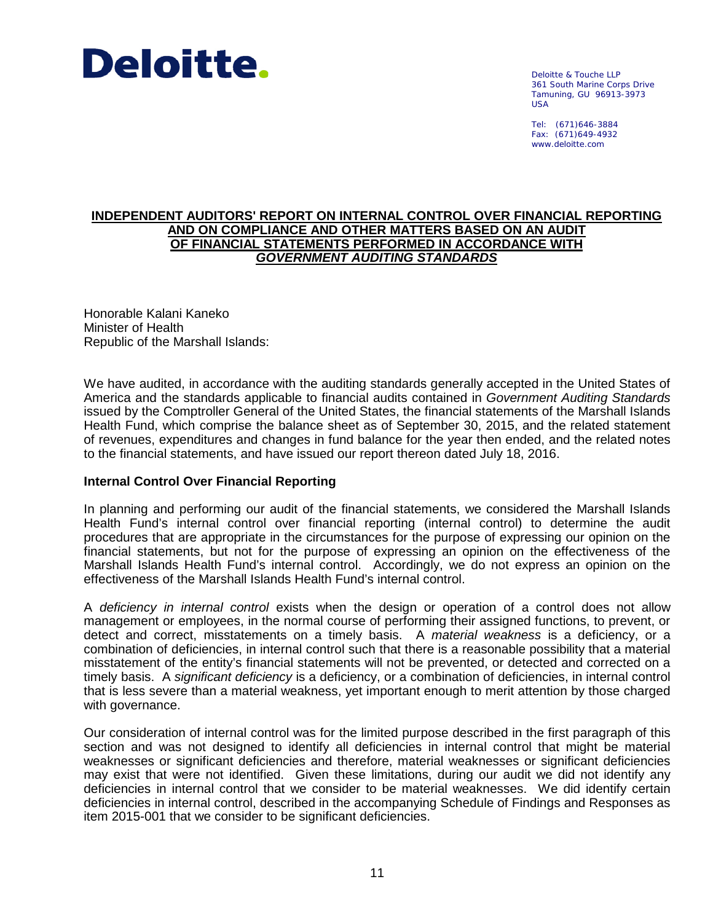

Deloitte & Touche LLP 361 South Marine Corps Drive Tamuning, GU 96913-3973 USA

Tel: (671)646-3884 Fax: (671)649-4932 www.deloitte.com

#### **INDEPENDENT AUDITORS' REPORT ON INTERNAL CONTROL OVER FINANCIAL REPORTING AND ON COMPLIANCE AND OTHER MATTERS BASED ON AN AUDIT OF FINANCIAL STATEMENTS PERFORMED IN ACCORDANCE WITH** *GOVERNMENT AUDITING STANDARDS*

Honorable Kalani Kaneko Minister of Health Republic of the Marshall Islands:

We have audited, in accordance with the auditing standards generally accepted in the United States of America and the standards applicable to financial audits contained in *Government Auditing Standards* issued by the Comptroller General of the United States, the financial statements of the Marshall Islands Health Fund, which comprise the balance sheet as of September 30, 2015, and the related statement of revenues, expenditures and changes in fund balance for the year then ended, and the related notes to the financial statements, and have issued our report thereon dated July 18, 2016.

# **Internal Control Over Financial Reporting**

In planning and performing our audit of the financial statements, we considered the Marshall Islands Health Fund's internal control over financial reporting (internal control) to determine the audit procedures that are appropriate in the circumstances for the purpose of expressing our opinion on the financial statements, but not for the purpose of expressing an opinion on the effectiveness of the Marshall Islands Health Fund's internal control. Accordingly, we do not express an opinion on the effectiveness of the Marshall Islands Health Fund's internal control.

A *deficiency in internal control* exists when the design or operation of a control does not allow management or employees, in the normal course of performing their assigned functions, to prevent, or detect and correct, misstatements on a timely basis. A *material weakness* is a deficiency, or a combination of deficiencies, in internal control such that there is a reasonable possibility that a material misstatement of the entity's financial statements will not be prevented, or detected and corrected on a timely basis. A *significant deficiency* is a deficiency, or a combination of deficiencies, in internal control that is less severe than a material weakness, yet important enough to merit attention by those charged with governance.

Our consideration of internal control was for the limited purpose described in the first paragraph of this section and was not designed to identify all deficiencies in internal control that might be material weaknesses or significant deficiencies and therefore, material weaknesses or significant deficiencies may exist that were not identified. Given these limitations, during our audit we did not identify any deficiencies in internal control that we consider to be material weaknesses. We did identify certain deficiencies in internal control, described in the accompanying Schedule of Findings and Responses as item 2015-001 that we consider to be significant deficiencies.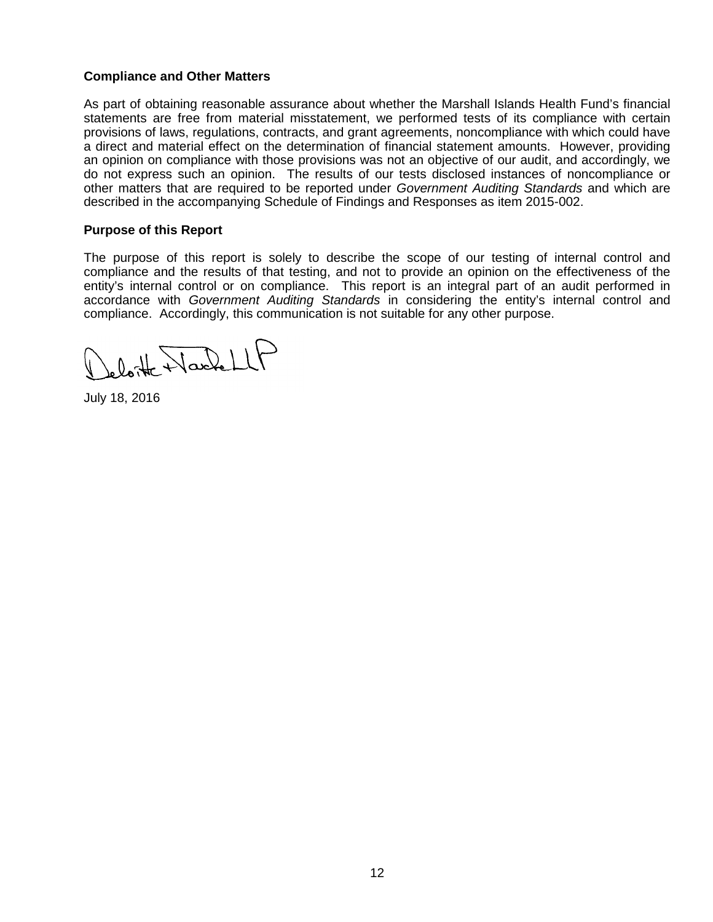# **Compliance and Other Matters**

As part of obtaining reasonable assurance about whether the Marshall Islands Health Fund's financial statements are free from material misstatement, we performed tests of its compliance with certain provisions of laws, regulations, contracts, and grant agreements, noncompliance with which could have a direct and material effect on the determination of financial statement amounts. However, providing an opinion on compliance with those provisions was not an objective of our audit, and accordingly, we do not express such an opinion. The results of our tests disclosed instances of noncompliance or other matters that are required to be reported under *Government Auditing Standards* and which are described in the accompanying Schedule of Findings and Responses as item 2015-002.

# **Purpose of this Report**

The purpose of this report is solely to describe the scope of our testing of internal control and compliance and the results of that testing, and not to provide an opinion on the effectiveness of the entity's internal control or on compliance. This report is an integral part of an audit performed in accordance with *Government Auditing Standards* in considering the entity's internal control and compliance. Accordingly, this communication is not suitable for any other purpose.

eloitte Nachell

July 18, 2016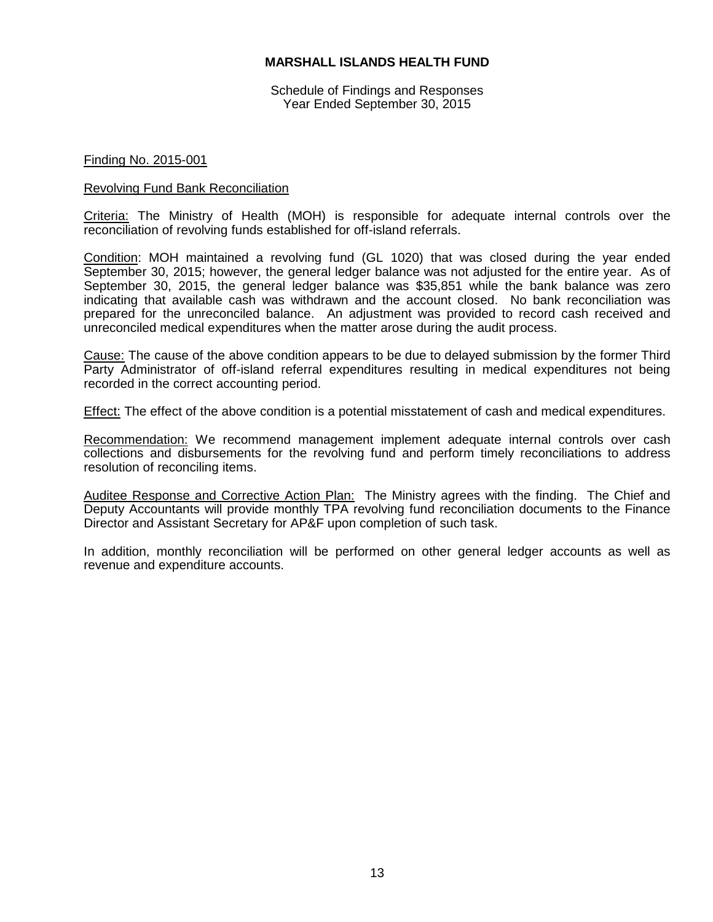Schedule of Findings and Responses Year Ended September 30, 2015

# Finding No. 2015-001

#### Revolving Fund Bank Reconciliation

Criteria: The Ministry of Health (MOH) is responsible for adequate internal controls over the reconciliation of revolving funds established for off-island referrals.

Condition: MOH maintained a revolving fund (GL 1020) that was closed during the year ended September 30, 2015; however, the general ledger balance was not adjusted for the entire year. As of September 30, 2015, the general ledger balance was \$35,851 while the bank balance was zero indicating that available cash was withdrawn and the account closed. No bank reconciliation was prepared for the unreconciled balance. An adjustment was provided to record cash received and unreconciled medical expenditures when the matter arose during the audit process.

Cause: The cause of the above condition appears to be due to delayed submission by the former Third Party Administrator of off-island referral expenditures resulting in medical expenditures not being recorded in the correct accounting period.

Effect: The effect of the above condition is a potential misstatement of cash and medical expenditures.

Recommendation: We recommend management implement adequate internal controls over cash collections and disbursements for the revolving fund and perform timely reconciliations to address resolution of reconciling items.

Auditee Response and Corrective Action Plan: The Ministry agrees with the finding. The Chief and Deputy Accountants will provide monthly TPA revolving fund reconciliation documents to the Finance Director and Assistant Secretary for AP&F upon completion of such task.

In addition, monthly reconciliation will be performed on other general ledger accounts as well as revenue and expenditure accounts.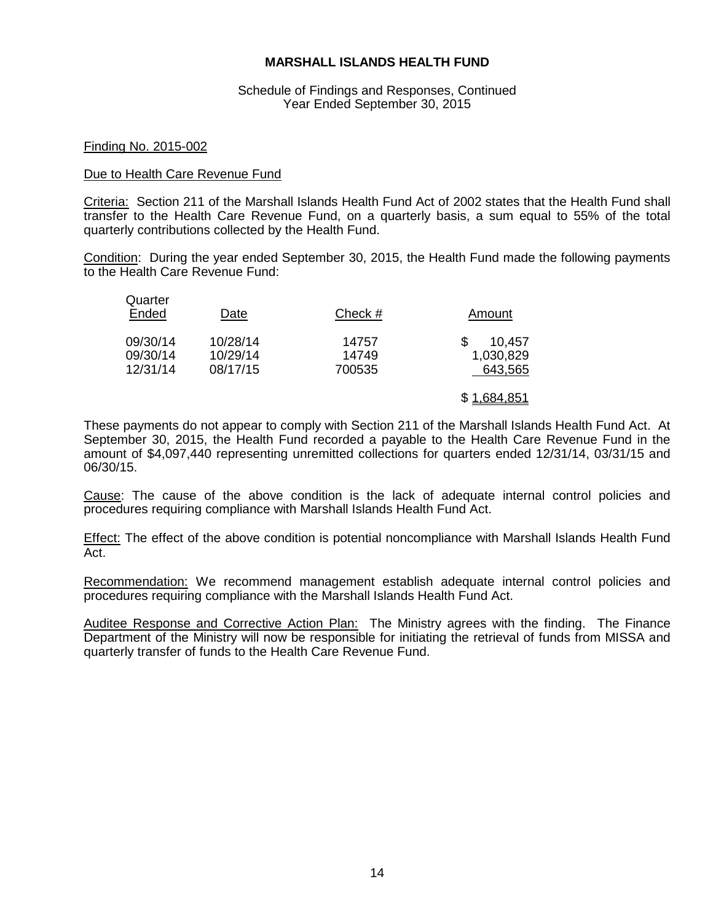#### Schedule of Findings and Responses, Continued Year Ended September 30, 2015

#### Finding No. 2015-002

#### Due to Health Care Revenue Fund

Criteria: Section 211 of the Marshall Islands Health Fund Act of 2002 states that the Health Fund shall transfer to the Health Care Revenue Fund, on a quarterly basis, a sum equal to 55% of the total quarterly contributions collected by the Health Fund.

Condition: During the year ended September 30, 2015, the Health Fund made the following payments to the Health Care Revenue Fund:

| Quarter<br>Ended | Date     | Check # | Amount      |
|------------------|----------|---------|-------------|
| 09/30/14         | 10/28/14 | 14757   | 10,457      |
| 09/30/14         | 10/29/14 | 14749   | 1,030,829   |
| 12/31/14         | 08/17/15 | 700535  | 643,565     |
|                  |          |         | \$1,684,851 |

These payments do not appear to comply with Section 211 of the Marshall Islands Health Fund Act. At September 30, 2015, the Health Fund recorded a payable to the Health Care Revenue Fund in the amount of \$4,097,440 representing unremitted collections for quarters ended 12/31/14, 03/31/15 and 06/30/15.

Cause: The cause of the above condition is the lack of adequate internal control policies and procedures requiring compliance with Marshall Islands Health Fund Act.

Effect: The effect of the above condition is potential noncompliance with Marshall Islands Health Fund Act.

Recommendation: We recommend management establish adequate internal control policies and procedures requiring compliance with the Marshall Islands Health Fund Act.

Auditee Response and Corrective Action Plan: The Ministry agrees with the finding. The Finance Department of the Ministry will now be responsible for initiating the retrieval of funds from MISSA and quarterly transfer of funds to the Health Care Revenue Fund.